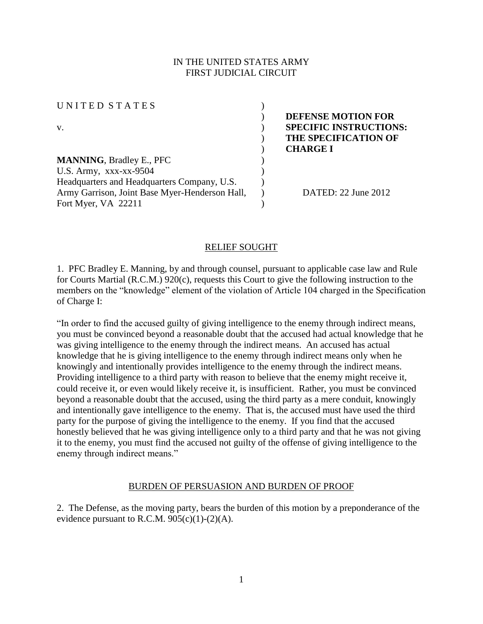## IN THE UNITED STATES ARMY FIRST JUDICIAL CIRCUIT

UNITED STATES ( v. ) **SPECIFIC INSTRUCTIONS: MANNING**, Bradley E., PFC ) U.S. Army,  $XXX-XX-9504$  ) Headquarters and Headquarters Company, U.S. Army Garrison, Joint Base Myer-Henderson Hall, Fort Myer, VA 22211

) **DEFENSE MOTION FOR**  ) **THE SPECIFICATION OF**  ) **CHARGE I** 

) DATED: 22 June 2012

#### RELIEF SOUGHT

)

)

1. PFC Bradley E. Manning, by and through counsel, pursuant to applicable case law and Rule for Courts Martial (R.C.M.) 920(c), requests this Court to give the following instruction to the members on the "knowledge" element of the violation of Article 104 charged in the Specification of Charge I:

"In order to find the accused guilty of giving intelligence to the enemy through indirect means, you must be convinced beyond a reasonable doubt that the accused had actual knowledge that he was giving intelligence to the enemy through the indirect means. An accused has actual knowledge that he is giving intelligence to the enemy through indirect means only when he knowingly and intentionally provides intelligence to the enemy through the indirect means. Providing intelligence to a third party with reason to believe that the enemy might receive it, could receive it, or even would likely receive it, is insufficient. Rather, you must be convinced beyond a reasonable doubt that the accused, using the third party as a mere conduit, knowingly and intentionally gave intelligence to the enemy. That is, the accused must have used the third party for the purpose of giving the intelligence to the enemy. If you find that the accused honestly believed that he was giving intelligence only to a third party and that he was not giving it to the enemy, you must find the accused not guilty of the offense of giving intelligence to the enemy through indirect means."

#### BURDEN OF PERSUASION AND BURDEN OF PROOF

2. The Defense, as the moving party, bears the burden of this motion by a preponderance of the evidence pursuant to R.C.M.  $905(c)(1)-(2)(A)$ .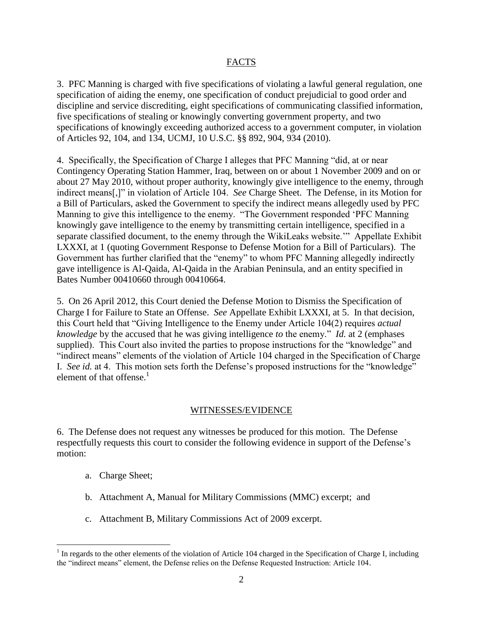## FACTS

3. PFC Manning is charged with five specifications of violating a lawful general regulation, one specification of aiding the enemy, one specification of conduct prejudicial to good order and discipline and service discrediting, eight specifications of communicating classified information, five specifications of stealing or knowingly converting government property, and two specifications of knowingly exceeding authorized access to a government computer, in violation of Articles 92, 104, and 134, UCMJ, 10 U.S.C. §§ 892, 904, 934 (2010).

4. Specifically, the Specification of Charge I alleges that PFC Manning "did, at or near Contingency Operating Station Hammer, Iraq, between on or about 1 November 2009 and on or about 27 May 2010, without proper authority, knowingly give intelligence to the enemy, through indirect means[,]" in violation of Article 104. *See* Charge Sheet. The Defense, in its Motion for a Bill of Particulars, asked the Government to specify the indirect means allegedly used by PFC Manning to give this intelligence to the enemy. "The Government responded 'PFC Manning knowingly gave intelligence to the enemy by transmitting certain intelligence, specified in a separate classified document, to the enemy through the WikiLeaks website.'" Appellate Exhibit LXXXI, at 1 (quoting Government Response to Defense Motion for a Bill of Particulars). The Government has further clarified that the "enemy" to whom PFC Manning allegedly indirectly gave intelligence is Al-Qaida, Al-Qaida in the Arabian Peninsula, and an entity specified in Bates Number 00410660 through 00410664.

5. On 26 April 2012, this Court denied the Defense Motion to Dismiss the Specification of Charge I for Failure to State an Offense. *See* Appellate Exhibit LXXXI, at 5. In that decision, this Court held that "Giving Intelligence to the Enemy under Article 104(2) requires *actual knowledge* by the accused that he was giving intelligence *to* the enemy." *Id.* at 2 (emphases supplied). This Court also invited the parties to propose instructions for the "knowledge" and "indirect means" elements of the violation of Article 104 charged in the Specification of Charge I. *See id.* at 4. This motion sets forth the Defense's proposed instructions for the "knowledge" element of that offense. $<sup>1</sup>$ </sup>

#### WITNESSES/EVIDENCE

6. The Defense does not request any witnesses be produced for this motion. The Defense respectfully requests this court to consider the following evidence in support of the Defense's motion:

a. Charge Sheet;

 $\overline{a}$ 

- b. Attachment A, Manual for Military Commissions (MMC) excerpt; and
- c. Attachment B, Military Commissions Act of 2009 excerpt.

 $<sup>1</sup>$  In regards to the other elements of the violation of Article 104 charged in the Specification of Charge I, including</sup> the "indirect means" element, the Defense relies on the Defense Requested Instruction: Article 104.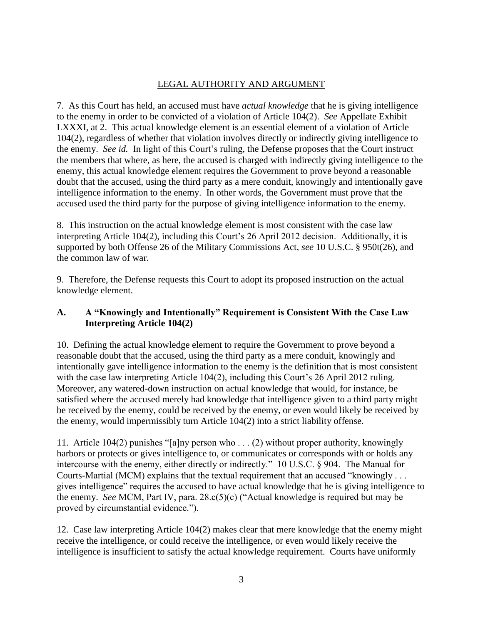# LEGAL AUTHORITY AND ARGUMENT

7. As this Court has held, an accused must have *actual knowledge* that he is giving intelligence to the enemy in order to be convicted of a violation of Article 104(2). *See* Appellate Exhibit LXXXI, at 2. This actual knowledge element is an essential element of a violation of Article 104(2), regardless of whether that violation involves directly or indirectly giving intelligence to the enemy. *See id.* In light of this Court's ruling, the Defense proposes that the Court instruct the members that where, as here, the accused is charged with indirectly giving intelligence to the enemy, this actual knowledge element requires the Government to prove beyond a reasonable doubt that the accused, using the third party as a mere conduit, knowingly and intentionally gave intelligence information to the enemy. In other words, the Government must prove that the accused used the third party for the purpose of giving intelligence information to the enemy.

8. This instruction on the actual knowledge element is most consistent with the case law interpreting Article 104(2), including this Court's 26 April 2012 decision. Additionally, it is supported by both Offense 26 of the Military Commissions Act, *see* 10 U.S.C. § 950t(26), and the common law of war.

9. Therefore, the Defense requests this Court to adopt its proposed instruction on the actual knowledge element.

## **A. A "Knowingly and Intentionally" Requirement is Consistent With the Case Law Interpreting Article 104(2)**

10. Defining the actual knowledge element to require the Government to prove beyond a reasonable doubt that the accused, using the third party as a mere conduit, knowingly and intentionally gave intelligence information to the enemy is the definition that is most consistent with the case law interpreting Article 104(2), including this Court's 26 April 2012 ruling. Moreover, any watered-down instruction on actual knowledge that would, for instance, be satisfied where the accused merely had knowledge that intelligence given to a third party might be received by the enemy, could be received by the enemy, or even would likely be received by the enemy, would impermissibly turn Article 104(2) into a strict liability offense.

11. Article 104(2) punishes "[a]ny person who . . . (2) without proper authority, knowingly harbors or protects or gives intelligence to, or communicates or corresponds with or holds any intercourse with the enemy, either directly or indirectly." 10 U.S.C. § 904. The Manual for Courts-Martial (MCM) explains that the textual requirement that an accused "knowingly . . . gives intelligence" requires the accused to have actual knowledge that he is giving intelligence to the enemy. *See* MCM, Part IV, para. 28.c(5)(c) ("Actual knowledge is required but may be proved by circumstantial evidence.").

12. Case law interpreting Article 104(2) makes clear that mere knowledge that the enemy might receive the intelligence, or could receive the intelligence, or even would likely receive the intelligence is insufficient to satisfy the actual knowledge requirement. Courts have uniformly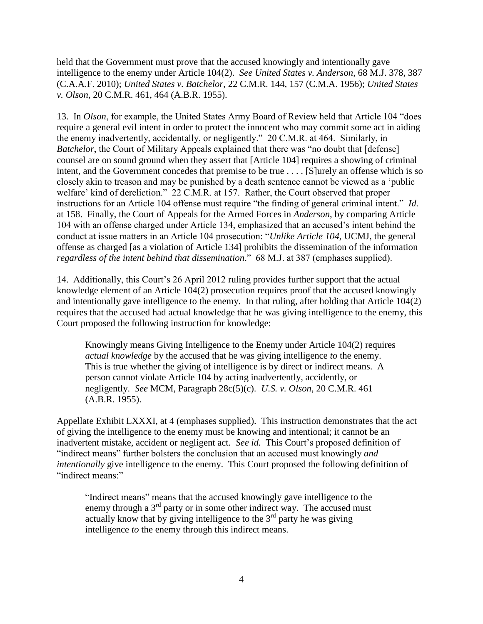held that the Government must prove that the accused knowingly and intentionally gave intelligence to the enemy under Article 104(2). *See United States v. Anderson*, 68 M.J. 378, 387 (C.A.A.F. 2010); *United States v. Batchelor*, 22 C.M.R. 144, 157 (C.M.A. 1956); *United States v. Olson*, 20 C.M.R. 461, 464 (A.B.R. 1955).

13. In *Olson*, for example, the United States Army Board of Review held that Article 104 "does require a general evil intent in order to protect the innocent who may commit some act in aiding the enemy inadvertently, accidentally, or negligently." 20 C.M.R. at 464. Similarly, in *Batchelor*, the Court of Military Appeals explained that there was "no doubt that [defense] counsel are on sound ground when they assert that [Article 104] requires a showing of criminal intent, and the Government concedes that premise to be true . . . . [S]urely an offense which is so closely akin to treason and may be punished by a death sentence cannot be viewed as a 'public welfare' kind of dereliction." 22 C.M.R. at 157. Rather, the Court observed that proper instructions for an Article 104 offense must require "the finding of general criminal intent." *Id.* at 158. Finally, the Court of Appeals for the Armed Forces in *Anderson*, by comparing Article 104 with an offense charged under Article 134, emphasized that an accused's intent behind the conduct at issue matters in an Article 104 prosecution: "*Unlike Article 104*, UCMJ, the general offense as charged [as a violation of Article 134] prohibits the dissemination of the information *regardless of the intent behind that dissemination*." 68 M.J. at 387 (emphases supplied).

14. Additionally, this Court's 26 April 2012 ruling provides further support that the actual knowledge element of an Article 104(2) prosecution requires proof that the accused knowingly and intentionally gave intelligence to the enemy. In that ruling, after holding that Article 104(2) requires that the accused had actual knowledge that he was giving intelligence to the enemy, this Court proposed the following instruction for knowledge:

Knowingly means Giving Intelligence to the Enemy under Article 104(2) requires *actual knowledge* by the accused that he was giving intelligence *to* the enemy. This is true whether the giving of intelligence is by direct or indirect means. A person cannot violate Article 104 by acting inadvertently, accidently, or negligently. *See* MCM, Paragraph 28c(5)(c). *U.S. v. Olson*, 20 C.M.R. 461 (A.B.R. 1955).

Appellate Exhibit LXXXI, at 4 (emphases supplied). This instruction demonstrates that the act of giving the intelligence to the enemy must be knowing and intentional; it cannot be an inadvertent mistake, accident or negligent act. *See id.* This Court's proposed definition of "indirect means" further bolsters the conclusion that an accused must knowingly *and intentionally* give intelligence to the enemy. This Court proposed the following definition of "indirect means:"

"Indirect means" means that the accused knowingly gave intelligence to the enemy through a  $3<sup>rd</sup>$  party or in some other indirect way. The accused must actually know that by giving intelligence to the  $3<sup>rd</sup>$  party he was giving intelligence *to* the enemy through this indirect means.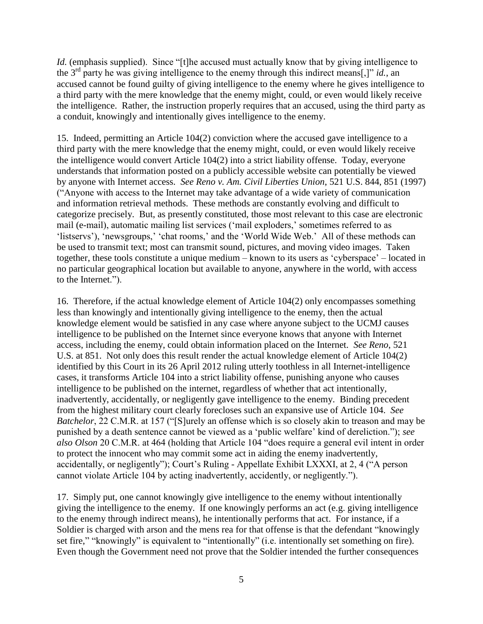*Id.* (emphasis supplied). Since "[t]he accused must actually know that by giving intelligence to the 3rd party he was giving intelligence to the enemy through this indirect means[,]" *id.*, an accused cannot be found guilty of giving intelligence to the enemy where he gives intelligence to a third party with the mere knowledge that the enemy might, could, or even would likely receive the intelligence. Rather, the instruction properly requires that an accused, using the third party as a conduit, knowingly and intentionally gives intelligence to the enemy.

15. Indeed, permitting an Article 104(2) conviction where the accused gave intelligence to a third party with the mere knowledge that the enemy might, could, or even would likely receive the intelligence would convert Article 104(2) into a strict liability offense. Today, everyone understands that information posted on a publicly accessible website can potentially be viewed by anyone with Internet access. *See Reno v. Am. Civil Liberties Union*, 521 U.S. 844, 851 (1997) ("Anyone with access to the Internet may take advantage of a wide variety of communication and information retrieval methods. These methods are constantly evolving and difficult to categorize precisely. But, as presently constituted, those most relevant to this case are electronic mail (e-mail), automatic mailing list services ('mail exploders,' sometimes referred to as 'listservs'), 'newsgroups,' 'chat rooms,' and the 'World Wide Web.' All of these methods can be used to transmit text; most can transmit sound, pictures, and moving video images. Taken together, these tools constitute a unique medium – known to its users as 'cyberspace' – located in no particular geographical location but available to anyone, anywhere in the world, with access to the Internet.").

16. Therefore, if the actual knowledge element of Article 104(2) only encompasses something less than knowingly and intentionally giving intelligence to the enemy, then the actual knowledge element would be satisfied in any case where anyone subject to the UCMJ causes intelligence to be published on the Internet since everyone knows that anyone with Internet access, including the enemy, could obtain information placed on the Internet. *See Reno*, 521 U.S. at 851. Not only does this result render the actual knowledge element of Article 104(2) identified by this Court in its 26 April 2012 ruling utterly toothless in all Internet-intelligence cases, it transforms Article 104 into a strict liability offense, punishing anyone who causes intelligence to be published on the internet, regardless of whether that act intentionally, inadvertently, accidentally, or negligently gave intelligence to the enemy. Binding precedent from the highest military court clearly forecloses such an expansive use of Article 104. *See Batchelor*, 22 C.M.R. at 157 ("[S]urely an offense which is so closely akin to treason and may be punished by a death sentence cannot be viewed as a 'public welfare' kind of dereliction."); *see also Olson* 20 C.M.R. at 464 (holding that Article 104 "does require a general evil intent in order to protect the innocent who may commit some act in aiding the enemy inadvertently, accidentally, or negligently"); Court's Ruling - Appellate Exhibit LXXXI, at 2, 4 ("A person cannot violate Article 104 by acting inadvertently, accidently, or negligently.").

17. Simply put, one cannot knowingly give intelligence to the enemy without intentionally giving the intelligence to the enemy. If one knowingly performs an act (e.g. giving intelligence to the enemy through indirect means), he intentionally performs that act. For instance, if a Soldier is charged with arson and the mens rea for that offense is that the defendant "knowingly set fire," "knowingly" is equivalent to "intentionally" (i.e. intentionally set something on fire). Even though the Government need not prove that the Soldier intended the further consequences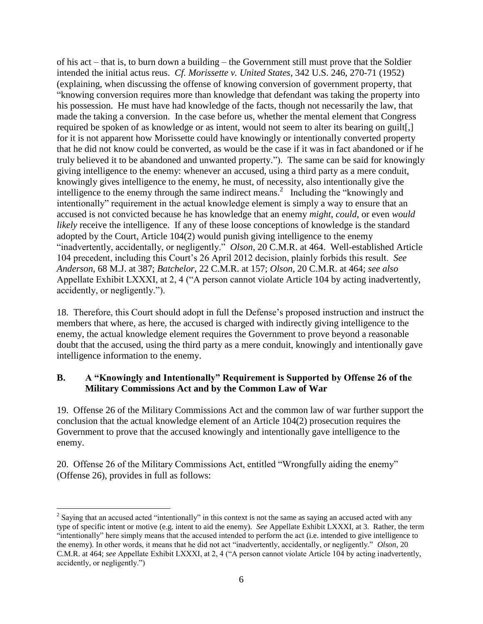of his act – that is, to burn down a building – the Government still must prove that the Soldier intended the initial actus reus. *Cf. Morissette v. United States*, 342 U.S. 246, 270-71 (1952) (explaining, when discussing the offense of knowing conversion of government property, that "knowing conversion requires more than knowledge that defendant was taking the property into his possession. He must have had knowledge of the facts, though not necessarily the law, that made the taking a conversion. In the case before us, whether the mental element that Congress required be spoken of as knowledge or as intent, would not seem to alter its bearing on guilt[,] for it is not apparent how Morissette could have knowingly or intentionally converted property that he did not know could be converted, as would be the case if it was in fact abandoned or if he truly believed it to be abandoned and unwanted property."). The same can be said for knowingly giving intelligence to the enemy: whenever an accused, using a third party as a mere conduit, knowingly gives intelligence to the enemy, he must, of necessity, also intentionally give the intelligence to the enemy through the same indirect means.<sup>2</sup> Including the "knowingly and intentionally" requirement in the actual knowledge element is simply a way to ensure that an accused is not convicted because he has knowledge that an enemy *might*, *could*, or even *would likely* receive the intelligence. If any of these loose conceptions of knowledge is the standard adopted by the Court, Article 104(2) would punish giving intelligence to the enemy "inadvertently, accidentally, or negligently." *Olson*, 20 C.M.R. at 464. Well-established Article 104 precedent, including this Court's 26 April 2012 decision, plainly forbids this result. *See Anderson*, 68 M.J. at 387; *Batchelor*, 22 C.M.R. at 157; *Olson*, 20 C.M.R. at 464; *see also* Appellate Exhibit LXXXI, at 2, 4 ("A person cannot violate Article 104 by acting inadvertently, accidently, or negligently.").

18. Therefore, this Court should adopt in full the Defense's proposed instruction and instruct the members that where, as here, the accused is charged with indirectly giving intelligence to the enemy, the actual knowledge element requires the Government to prove beyond a reasonable doubt that the accused, using the third party as a mere conduit, knowingly and intentionally gave intelligence information to the enemy.

## **B. A "Knowingly and Intentionally" Requirement is Supported by Offense 26 of the Military Commissions Act and by the Common Law of War**

19. Offense 26 of the Military Commissions Act and the common law of war further support the conclusion that the actual knowledge element of an Article 104(2) prosecution requires the Government to prove that the accused knowingly and intentionally gave intelligence to the enemy.

20. Offense 26 of the Military Commissions Act, entitled "Wrongfully aiding the enemy" (Offense 26), provides in full as follows:

 $\overline{a}$ 

 $2^2$  Saying that an accused acted "intentionally" in this context is not the same as saying an accused acted with any type of specific intent or motive (e.g. intent to aid the enemy). *See* Appellate Exhibit LXXXI, at 3. Rather, the term "intentionally" here simply means that the accused intended to perform the act (i.e. intended to give intelligence to the enemy). In other words, it means that he did not act "inadvertently, accidentally, or negligently." *Olson*, 20 C.M.R. at 464; *see* Appellate Exhibit LXXXI, at 2, 4 ("A person cannot violate Article 104 by acting inadvertently, accidently, or negligently.")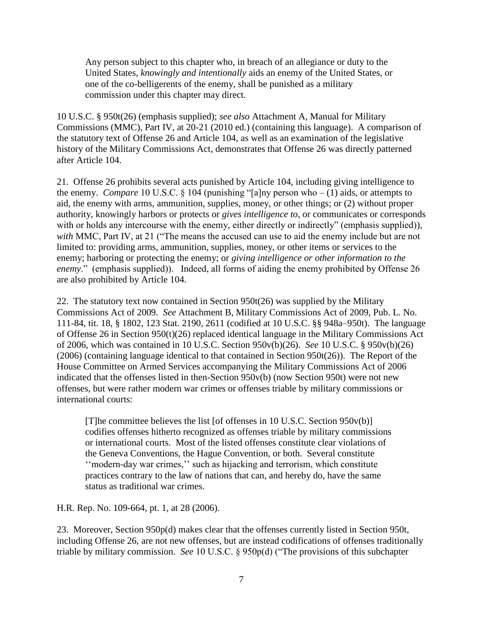Any person subject to this chapter who, in breach of an allegiance or duty to the United States, *knowingly and intentionally* aids an enemy of the United States, or one of the co-belligerents of the enemy, shall be punished as a military commission under this chapter may direct.

10 U.S.C. § 950t(26) (emphasis supplied); *see also* Attachment A, Manual for Military Commissions (MMC), Part IV, at 20-21 (2010 ed.) (containing this language). A comparison of the statutory text of Offense 26 and Article 104, as well as an examination of the legislative history of the Military Commissions Act, demonstrates that Offense 26 was directly patterned after Article 104.

21. Offense 26 prohibits several acts punished by Article 104, including giving intelligence to the enemy. *Compare* 10 U.S.C.  $\S$  104 (punishing "[a]ny person who – (1) aids, or attempts to aid, the enemy with arms, ammunition, supplies, money, or other things; or (2) without proper authority, knowingly harbors or protects or *gives intelligence to*, or communicates or corresponds with or holds any intercourse with the enemy, either directly or indirectly" (emphasis supplied)), *with* MMC, Part IV, at 21 ("The means the accused can use to aid the enemy include but are not limited to: providing arms, ammunition, supplies, money, or other items or services to the enemy; harboring or protecting the enemy; or *giving intelligence or other information to the enemy*." (emphasis supplied)). Indeed, all forms of aiding the enemy prohibited by Offense 26 are also prohibited by Article 104.

22. The statutory text now contained in Section 950t(26) was supplied by the Military Commissions Act of 2009. *See* Attachment B, Military Commissions Act of 2009, Pub. L. No. 111-84, tit. 18, § 1802, 123 Stat. 2190, 2611 (codified at 10 U.S.C. §§ 948a–950t). The language of Offense 26 in Section 950(t)(26) replaced identical language in the Military Commissions Act of 2006, which was contained in 10 U.S.C. Section 950v(b)(26). *See* 10 U.S.C. § 950v(b)(26) (2006) (containing language identical to that contained in Section 950t(26)). The Report of the House Committee on Armed Services accompanying the Military Commissions Act of 2006 indicated that the offenses listed in then-Section 950v(b) (now Section 950t) were not new offenses, but were rather modern war crimes or offenses triable by military commissions or international courts:

[T]he committee believes the list [of offenses in 10 U.S.C. Section 950v(b)] codifies offenses hitherto recognized as offenses triable by military commissions or international courts. Most of the listed offenses constitute clear violations of the Geneva Conventions, the Hague Convention, or both. Several constitute ''modern-day war crimes,'' such as hijacking and terrorism, which constitute practices contrary to the law of nations that can, and hereby do, have the same status as traditional war crimes.

H.R. Rep. No. 109-664, pt. 1, at 28 (2006).

23. Moreover, Section 950p(d) makes clear that the offenses currently listed in Section 950t, including Offense 26, are not new offenses, but are instead codifications of offenses traditionally triable by military commission. *See* 10 U.S.C. § 950p(d) ("The provisions of this subchapter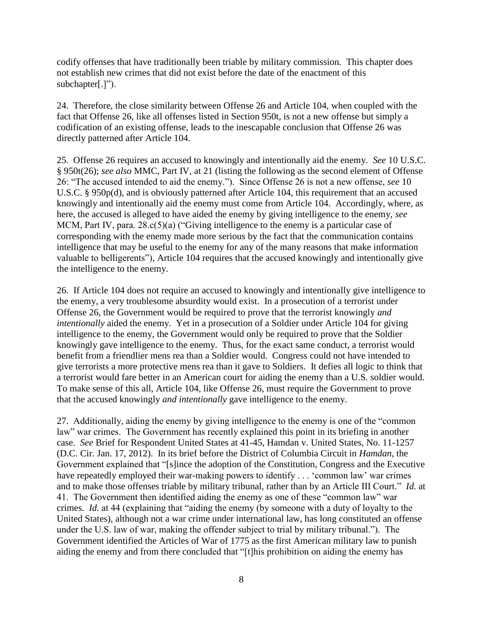codify offenses that have traditionally been triable by military commission. This chapter does not establish new crimes that did not exist before the date of the enactment of this subchapter[.]").

24. Therefore, the close similarity between Offense 26 and Article 104, when coupled with the fact that Offense 26, like all offenses listed in Section 950t, is not a new offense but simply a codification of an existing offense, leads to the inescapable conclusion that Offense 26 was directly patterned after Article 104.

25. Offense 26 requires an accused to knowingly and intentionally aid the enemy. *See* 10 U.S.C. § 950t(26); *see also* MMC, Part IV, at 21 (listing the following as the second element of Offense 26: "The accused intended to aid the enemy."). Since Offense 26 is not a new offense, *see* 10 U.S.C. § 950p(d), and is obviously patterned after Article 104, this requirement that an accused knowingly and intentionally aid the enemy must come from Article 104. Accordingly, where, as here, the accused is alleged to have aided the enemy by giving intelligence to the enemy, *see* MCM, Part IV, para.  $28 \cdot c(5)(a)$  ("Giving intelligence to the enemy is a particular case of corresponding with the enemy made more serious by the fact that the communication contains intelligence that may be useful to the enemy for any of the many reasons that make information valuable to belligerents"), Article 104 requires that the accused knowingly and intentionally give the intelligence to the enemy.

26. If Article 104 does not require an accused to knowingly and intentionally give intelligence to the enemy, a very troublesome absurdity would exist. In a prosecution of a terrorist under Offense 26, the Government would be required to prove that the terrorist knowingly *and intentionally* aided the enemy. Yet in a prosecution of a Soldier under Article 104 for giving intelligence to the enemy, the Government would only be required to prove that the Soldier knowingly gave intelligence to the enemy. Thus, for the exact same conduct, a terrorist would benefit from a friendlier mens rea than a Soldier would. Congress could not have intended to give terrorists a more protective mens rea than it gave to Soldiers. It defies all logic to think that a terrorist would fare better in an American court for aiding the enemy than a U.S. soldier would. To make sense of this all, Article 104, like Offense 26, must require the Government to prove that the accused knowingly *and intentionally* gave intelligence to the enemy.

27. Additionally, aiding the enemy by giving intelligence to the enemy is one of the "common law" war crimes. The Government has recently explained this point in its briefing in another case. *See* Brief for Respondent United States at 41-45, Hamdan v. United States, No. 11-1257 (D.C. Cir. Jan. 17, 2012). In its brief before the District of Columbia Circuit in *Hamdan*, the Government explained that "[s]ince the adoption of the Constitution, Congress and the Executive have repeatedly employed their war-making powers to identify . . . 'common law' war crimes and to make those offenses triable by military tribunal, rather than by an Article III Court." *Id.* at 41. The Government then identified aiding the enemy as one of these "common law" war crimes. *Id.* at 44 (explaining that "aiding the enemy (by someone with a duty of loyalty to the United States), although not a war crime under international law, has long constituted an offense under the U.S. law of war, making the offender subject to trial by military tribunal."). The Government identified the Articles of War of 1775 as the first American military law to punish aiding the enemy and from there concluded that "[t]his prohibition on aiding the enemy has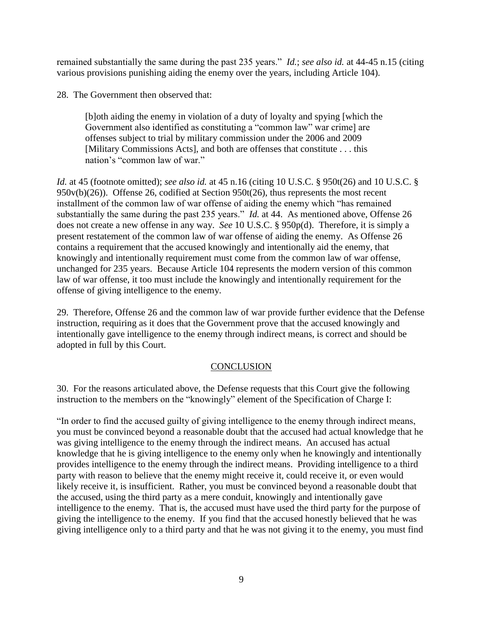remained substantially the same during the past 235 years." *Id.*; *see also id.* at 44-45 n.15 (citing various provisions punishing aiding the enemy over the years, including Article 104).

28. The Government then observed that:

[b]oth aiding the enemy in violation of a duty of loyalty and spying [which the Government also identified as constituting a "common law" war crime] are offenses subject to trial by military commission under the 2006 and 2009 [Military Commissions Acts], and both are offenses that constitute . . . this nation's "common law of war."

*Id.* at 45 (footnote omitted); *see also id.* at 45 n.16 (citing 10 U.S.C. § 950t(26) and 10 U.S.C. § 950v(b)(26)). Offense 26, codified at Section 950t(26), thus represents the most recent installment of the common law of war offense of aiding the enemy which "has remained substantially the same during the past 235 years." *Id.* at 44. As mentioned above, Offense 26 does not create a new offense in any way. *See* 10 U.S.C. § 950p(d). Therefore, it is simply a present restatement of the common law of war offense of aiding the enemy. As Offense 26 contains a requirement that the accused knowingly and intentionally aid the enemy, that knowingly and intentionally requirement must come from the common law of war offense, unchanged for 235 years. Because Article 104 represents the modern version of this common law of war offense, it too must include the knowingly and intentionally requirement for the offense of giving intelligence to the enemy.

29. Therefore, Offense 26 and the common law of war provide further evidence that the Defense instruction, requiring as it does that the Government prove that the accused knowingly and intentionally gave intelligence to the enemy through indirect means, is correct and should be adopted in full by this Court.

#### **CONCLUSION**

30. For the reasons articulated above, the Defense requests that this Court give the following instruction to the members on the "knowingly" element of the Specification of Charge I:

"In order to find the accused guilty of giving intelligence to the enemy through indirect means, you must be convinced beyond a reasonable doubt that the accused had actual knowledge that he was giving intelligence to the enemy through the indirect means. An accused has actual knowledge that he is giving intelligence to the enemy only when he knowingly and intentionally provides intelligence to the enemy through the indirect means. Providing intelligence to a third party with reason to believe that the enemy might receive it, could receive it, or even would likely receive it, is insufficient. Rather, you must be convinced beyond a reasonable doubt that the accused, using the third party as a mere conduit, knowingly and intentionally gave intelligence to the enemy. That is, the accused must have used the third party for the purpose of giving the intelligence to the enemy. If you find that the accused honestly believed that he was giving intelligence only to a third party and that he was not giving it to the enemy, you must find